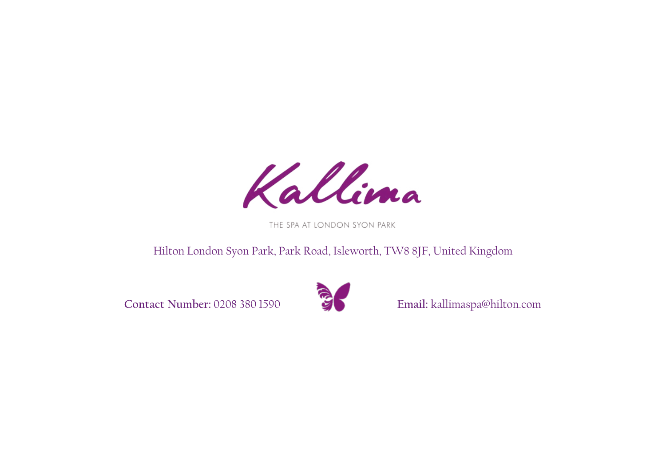

THE SPA AT LONDON SYON PARK

## Hilton London Syon Park, Park Road, Isleworth, TW8 8JF, United Kingdom

**Contact Number:** 0208 380 1590 **Email:** kallimaspa@hilton.com

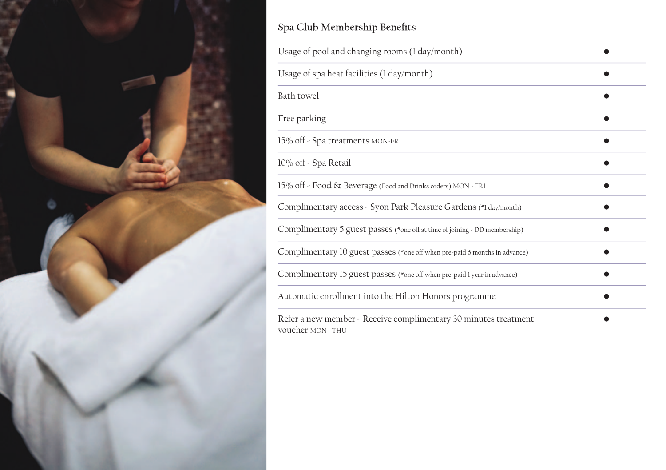

## Spa Club Membership Benefits

| Usage of pool and changing rooms (1 day/month)                                       |  |  |
|--------------------------------------------------------------------------------------|--|--|
| Usage of spa heat facilities (1 day/month)                                           |  |  |
| Bath towel                                                                           |  |  |
| Free parking                                                                         |  |  |
| 15% off - Spa treatments MON-FRI                                                     |  |  |
| 10% off - Spa Retail                                                                 |  |  |
| 15% off - Food & Beverage (Food and Drinks orders) MON - FRI                         |  |  |
| Complimentary access - Syon Park Pleasure Gardens (*1 day/month)                     |  |  |
| Complimentary 5 guest passes (*one off at time of joining > DD membership)           |  |  |
| Complimentary 10 guest passes (*one off when pre-paid 6 months in advance)           |  |  |
| Complimentary 15 guest passes (*one off when pre-paid 1 year in advance)             |  |  |
| Automatic enrollment into the Hilton Honors programme                                |  |  |
| Refer a new member - Receive complimentary 30 minutes treatment<br>voucher MON - THU |  |  |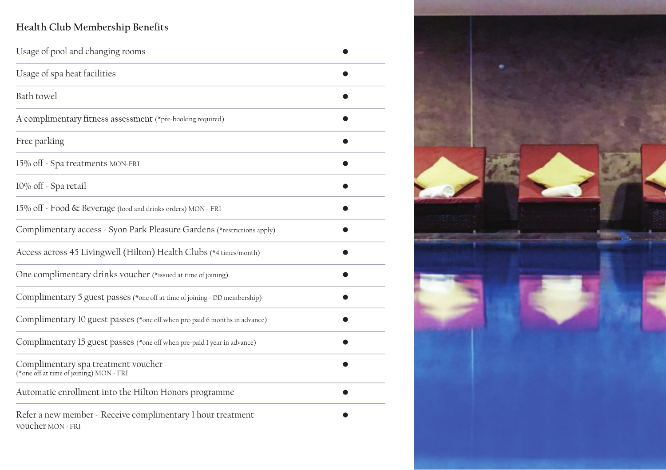## Health Club Membership Benefits

| Usage of pool and changing rooms                                                 |  |
|----------------------------------------------------------------------------------|--|
| Usage of spa heat facilities                                                     |  |
| Bath towel                                                                       |  |
| A complimentary fitness assessment (*pre-booking required)                       |  |
| Free parking                                                                     |  |
| 15% off - Spa treatments MON-FRI                                                 |  |
| 10% off - Spa retail                                                             |  |
| 15% off - Food & Beverage (food and drinks orders) MON - FRI                     |  |
| Complimentary access - Syon Park Pleasure Gardens (*restrictions apply)          |  |
| Access across 45 Livingwell (Hilton) Health Clubs (*4 times/month)               |  |
| One complimentary drinks voucher (*issued at time of joining)                    |  |
| Complimentary 5 guest passes (*one off at time of joining < DD membership)       |  |
| Complimentary 10 guest passes (*one off when pre-paid 6 months in advance)       |  |
| Complimentary 15 guest passes (*one off when pre-paid 1 year in advance)         |  |
| Complimentary spa treatment voucher<br>(*one off at time of joining) MON - FRI   |  |
| Automatic enrollment into the Hilton Honors programme                            |  |
| Refer a new member - Receive complimentary 1 hour treatment<br>voucher MON - FRI |  |